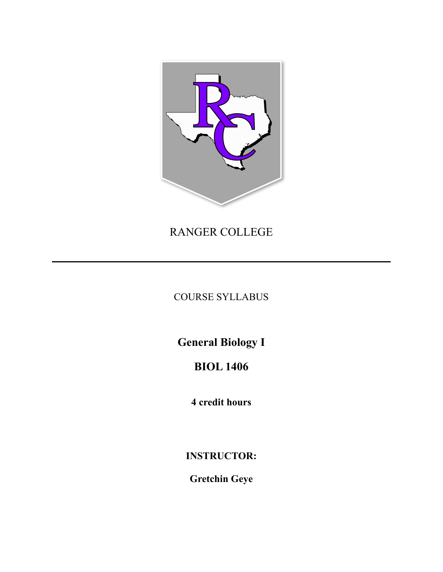

RANGER COLLEGE

COURSE SYLLABUS

**General Biology I** 

**BIOL 1406** 

4 credit hours

**INSTRUCTOR:** 

**Gretchin Geye**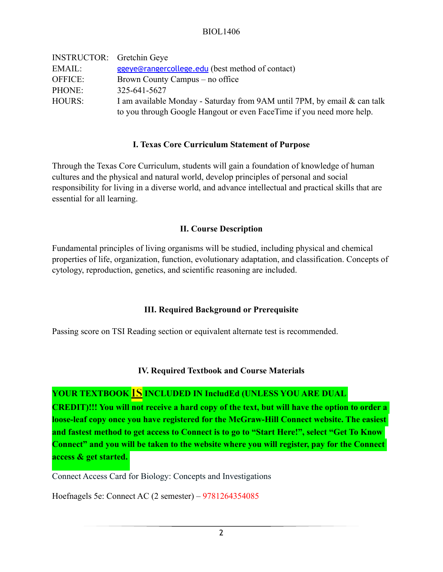| <b>INSTRUCTOR:</b> Gretchin Geye |                                                                          |
|----------------------------------|--------------------------------------------------------------------------|
| EMAIL:                           | ggeye@rangercollege.edu (best method of contact)                         |
| OFFICE:                          | Brown County Campus – no office                                          |
| PHONE:                           | 325-641-5627                                                             |
| HOURS:                           | I am available Monday - Saturday from 9AM until 7PM, by email & can talk |
|                                  | to you through Google Hangout or even FaceTime if you need more help.    |

#### **I. Texas Core Curriculum Statement of Purpose**

Through the Texas Core Curriculum, students will gain a foundation of knowledge of human cultures and the physical and natural world, develop principles of personal and social responsibility for living in a diverse world, and advance intellectual and practical skills that are essential for all learning.

#### **II. Course Description**

Fundamental principles of living organisms will be studied, including physical and chemical properties of life, organization, function, evolutionary adaptation, and classification. Concepts of cytology, reproduction, genetics, and scientific reasoning are included.

# **III. Required Background or Prerequisite**

Passing score on TSI Reading section or equivalent alternate test is recommended.

#### **IV. Required Textbook and Course Materials**

# **YOUR TEXTBOOK IS INCLUDED IN IncludEd (UNLESS YOU ARE DUAL**

**CREDIT)!!! You will not receive a hard copy of the text, but will have the option to order a loose-leaf copy once you have registered for the McGraw-Hill Connect website. The easiest and fastest method to get access to Connect is to go to "Start Here!", select "Get To Know Connect" and you will be taken to the website where you will register, pay for the Connect access & get started.** 

Connect Access Card for Biology: Concepts and Investigations

Hoefnagels 5e: Connect AC (2 semester) – 9781264354085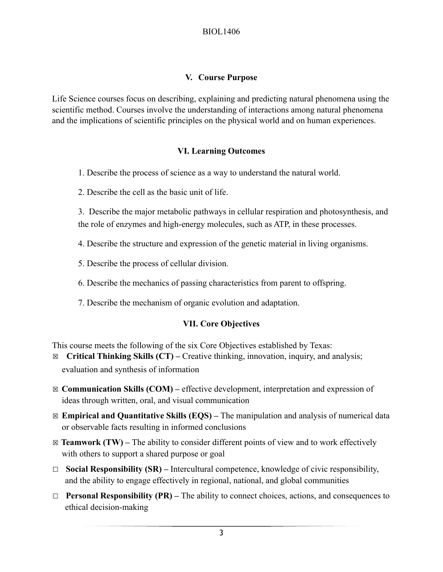## **V. Course Purpose**

Life Science courses focus on describing, explaining and predicting natural phenomena using the scientific method. Courses involve the understanding of interactions among natural phenomena and the implications of scientific principles on the physical world and on human experiences.

## **VI. Learning Outcomes**

1. Describe the process of science as a way to understand the natural world.

2. Describe the cell as the basic unit of life.

 3. Describe the major metabolic pathways in cellular respiration and photosynthesis, and the role of enzymes and high-energy molecules, such as ATP, in these processes.

- 4. Describe the structure and expression of the genetic material in living organisms.
- 5. Describe the process of cellular division.
- 6. Describe the mechanics of passing characteristics from parent to offspring.
- 7. Describe the mechanism of organic evolution and adaptation.

#### **VII. Core Objectives**

This course meets the following of the six Core Objectives established by Texas:

- ☒ **Critical Thinking Skills (CT)** Creative thinking, innovation, inquiry, and analysis; evaluation and synthesis of information
- ☒ **Communication Skills (COM)** effective development, interpretation and expression of ideas through written, oral, and visual communication
- ☒ **Empirical and Quantitative Skills (EQS)** The manipulation and analysis of numerical data or observable facts resulting in informed conclusions
- $\boxtimes$  **Teamwork (TW)** The ability to consider different points of view and to work effectively with others to support a shared purpose or goal
- ☐ **Social Responsibility (SR)** Intercultural competence, knowledge of civic responsibility, and the ability to engage effectively in regional, national, and global communities
- ☐ **Personal Responsibility (PR)** The ability to connect choices, actions, and consequences to ethical decision-making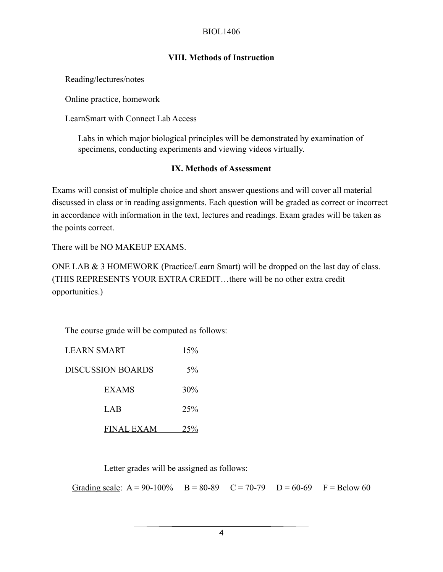# **VIII. Methods of Instruction**

Reading/lectures/notes

Online practice, homework

LearnSmart with Connect Lab Access

Labs in which major biological principles will be demonstrated by examination of specimens, conducting experiments and viewing videos virtually.

## **IX. Methods of Assessment**

Exams will consist of multiple choice and short answer questions and will cover all material discussed in class or in reading assignments. Each question will be graded as correct or incorrect in accordance with information in the text, lectures and readings. Exam grades will be taken as the points correct.

There will be NO MAKEUP EXAMS.

ONE LAB & 3 HOMEWORK (Practice/Learn Smart) will be dropped on the last day of class. (THIS REPRESENTS YOUR EXTRA CREDIT…there will be no other extra credit opportunities.)

The course grade will be computed as follows:

| <b>LEARN SMART</b> | 15%   |
|--------------------|-------|
| DISCUSSION BOARDS  | $5\%$ |
| EXAMS              | 30%   |
| LAB                | 25%   |
| FINAL EXAM         |       |

Letter grades will be assigned as follows:

Grading scale:  $A = 90-100\%$  B = 80-89 C = 70-79 D = 60-69 F = Below 60

4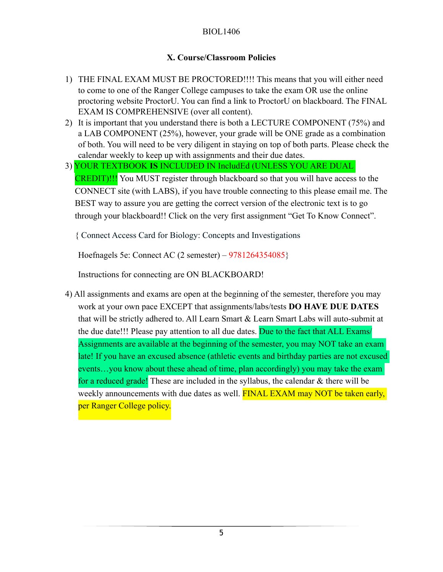# **X. Course/Classroom Policies**

- 1) THE FINAL EXAM MUST BE PROCTORED!!!! This means that you will either need to come to one of the Ranger College campuses to take the exam OR use the online proctoring website ProctorU. You can find a link to ProctorU on blackboard. The FINAL EXAM IS COMPREHENSIVE (over all content).
- 2) It is important that you understand there is both a LECTURE COMPONENT (75%) and a LAB COMPONENT (25%), however, your grade will be ONE grade as a combination of both. You will need to be very diligent in staying on top of both parts. Please check the calendar weekly to keep up with assignments and their due dates.
- 3) YOUR TEXTBOOK **IS** INCLUDED IN IncludEd (UNLESS YOU ARE DUAL CREDIT)!!! You MUST register through blackboard so that you will have access to the CONNECT site (with LABS), if you have trouble connecting to this please email me. The BEST way to assure you are getting the correct version of the electronic text is to go through your blackboard!! Click on the very first assignment "Get To Know Connect".

{ Connect Access Card for Biology: Concepts and Investigations

Hoefnagels 5e: Connect AC (2 semester) – 9781264354085}

Instructions for connecting are ON BLACKBOARD!

4) All assignments and exams are open at the beginning of the semester, therefore you may work at your own pace EXCEPT that assignments/labs/tests **DO HAVE DUE DATES** that will be strictly adhered to. All Learn Smart & Learn Smart Labs will auto-submit at the due date!!! Please pay attention to all due dates. Due to the fact that ALL Exams/ Assignments are available at the beginning of the semester, you may NOT take an exam late! If you have an excused absence (athletic events and birthday parties are not excused events…you know about these ahead of time, plan accordingly) you may take the exam for a reduced grade! These are included in the syllabus, the calendar & there will be weekly announcements with due dates as well. **FINAL EXAM may NOT be taken early,** per Ranger College policy.